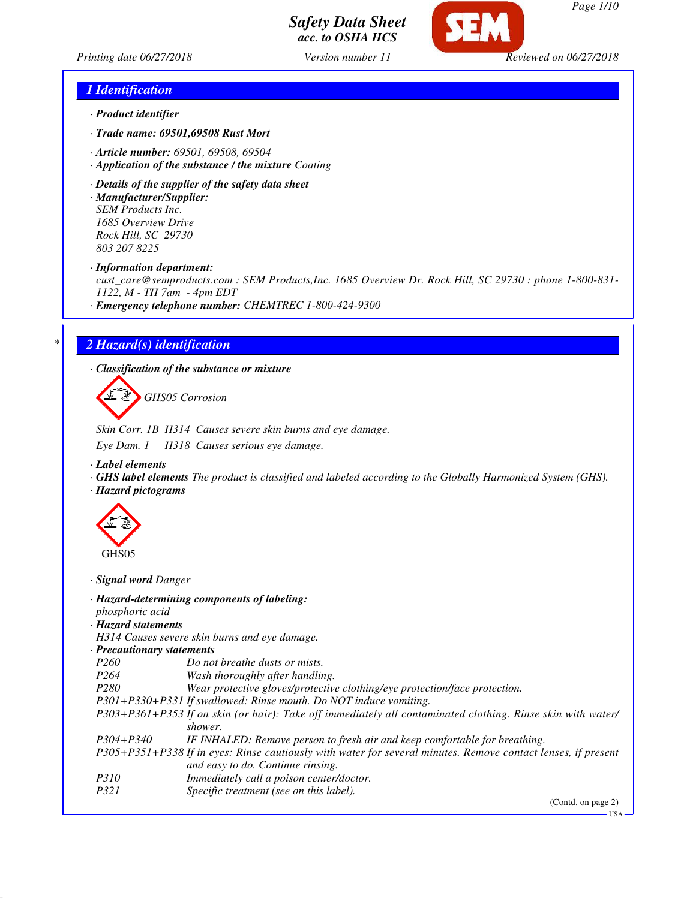



*Page 1/10*

## *1 Identification*

- *· Product identifier*
- *· Trade name: 69501,69508 Rust Mort*
- *· Article number: 69501, 69508, 69504*
- *· Application of the substance / the mixture Coating*
- *· Details of the supplier of the safety data sheet*

*· Manufacturer/Supplier: SEM Products Inc. 1685 Overview Drive Rock Hill, SC 29730 803 207 8225*

*· Information department:*

*cust\_care@semproducts.com : SEM Products,Inc. 1685 Overview Dr. Rock Hill, SC 29730 : phone 1-800-831- 1122, M - TH 7am - 4pm EDT*

*· Emergency telephone number: CHEMTREC 1-800-424-9300*

## *\* 2 Hazard(s) identification*

*· Classification of the substance or mixture*

*GHS05 Corrosion*

*Skin Corr. 1B H314 Causes severe skin burns and eye damage.*

*Eye Dam. 1 H318 Causes serious eye damage.*

*· Label elements*

*· GHS label elements The product is classified and labeled according to the Globally Harmonized System (GHS). · Hazard pictograms*



*· Signal word Danger*

*· Hazard-determining components of labeling: phosphoric acid*

*· Hazard statements*

*H314 Causes severe skin burns and eye damage.*

#### *· Precautionary statements*

- *P260 Do not breathe dusts or mists.*
- *P264 Wash thoroughly after handling.*
- *P280 Wear protective gloves/protective clothing/eye protection/face protection.*
- *P301+P330+P331 If swallowed: Rinse mouth. Do NOT induce vomiting.*

*P303+P361+P353 If on skin (or hair): Take off immediately all contaminated clothing. Rinse skin with water/ shower.*

*P304+P340 IF INHALED: Remove person to fresh air and keep comfortable for breathing.*

*P305+P351+P338 If in eyes: Rinse cautiously with water for several minutes. Remove contact lenses, if present and easy to do. Continue rinsing.*

- *P310 Immediately call a poison center/doctor.*
- *P321 Specific treatment (see on this label).*

(Contd. on page 2)

USA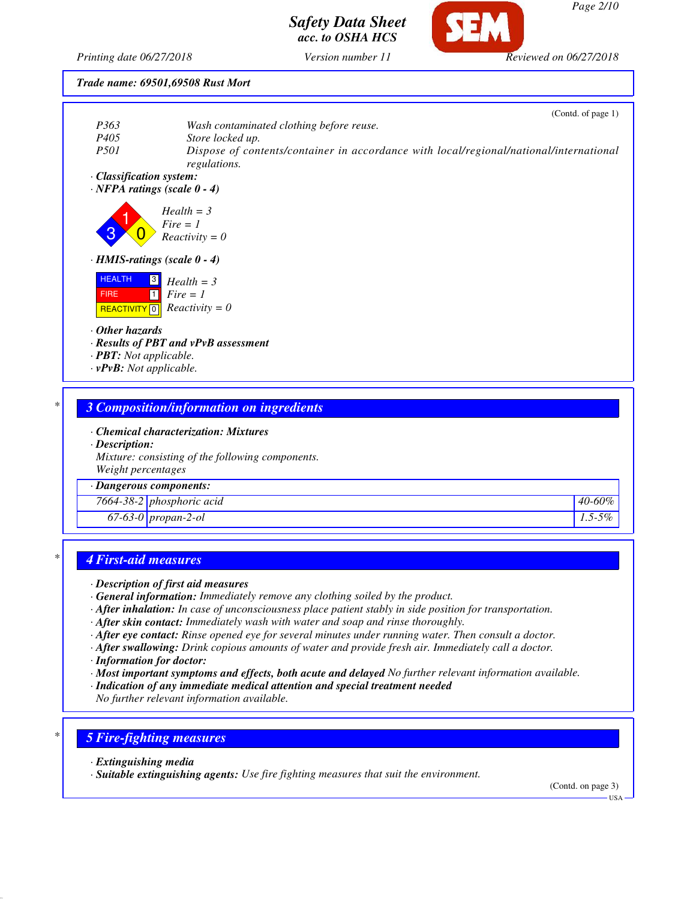

*Page 2/10*

*Printing date 06/27/2018 Version number 11 Reviewed on 06/27/2018*

*acc. to OSHA HCS*

*Safety Data Sheet*

## *Trade name: 69501,69508 Rust Mort*

| P363                           | Wash contaminated clothing before reuse.                                                               |
|--------------------------------|--------------------------------------------------------------------------------------------------------|
| P <sub>405</sub>               | Store locked up.                                                                                       |
| <i>P501</i>                    | Dispose of contents/container in accordance with local/regional/national/international<br>regulations. |
| · Classification system:       |                                                                                                        |
|                                | $\cdot$ NFPA ratings (scale $0 - 4$ )                                                                  |
|                                | $Fire = 1$<br>$Reactivity = 0$                                                                         |
|                                |                                                                                                        |
|                                | $\cdot$ HMIS-ratings (scale 0 - 4)                                                                     |
| <b>HEALTH</b><br><b>FIRE</b>   | $\boxed{3}$<br>$Health = 3$<br>$\vert$ 1<br>$First = 1$<br>REACTIVITY 0 $Reactivity = 0$               |
| $\cdot$ Other hazards          |                                                                                                        |
| · <b>PBT</b> : Not applicable. | · Results of PBT and vPvB assessment                                                                   |

### *· Chemical characterization: Mixtures*

*· Description:*

*Mixture: consisting of the following components. Weight percentages*

### *· Dangerous components:*

*7664-38-2 phosphoric acid 40-60% 67-63-0 propan-2-ol 1.5-5%*

## *\* 4 First-aid measures*

#### *· Description of first aid measures*

- *· General information: Immediately remove any clothing soiled by the product.*
- *· After inhalation: In case of unconsciousness place patient stably in side position for transportation.*
- *· After skin contact: Immediately wash with water and soap and rinse thoroughly.*
- *· After eye contact: Rinse opened eye for several minutes under running water. Then consult a doctor.*
- *· After swallowing: Drink copious amounts of water and provide fresh air. Immediately call a doctor.*
- *· Information for doctor:*
- *· Most important symptoms and effects, both acute and delayed No further relevant information available.*
- *· Indication of any immediate medical attention and special treatment needed*
- *No further relevant information available.*

# *\* 5 Fire-fighting measures*

- *· Extinguishing media*
- *· Suitable extinguishing agents: Use fire fighting measures that suit the environment.*

 $-<sup>1</sup>$ ISA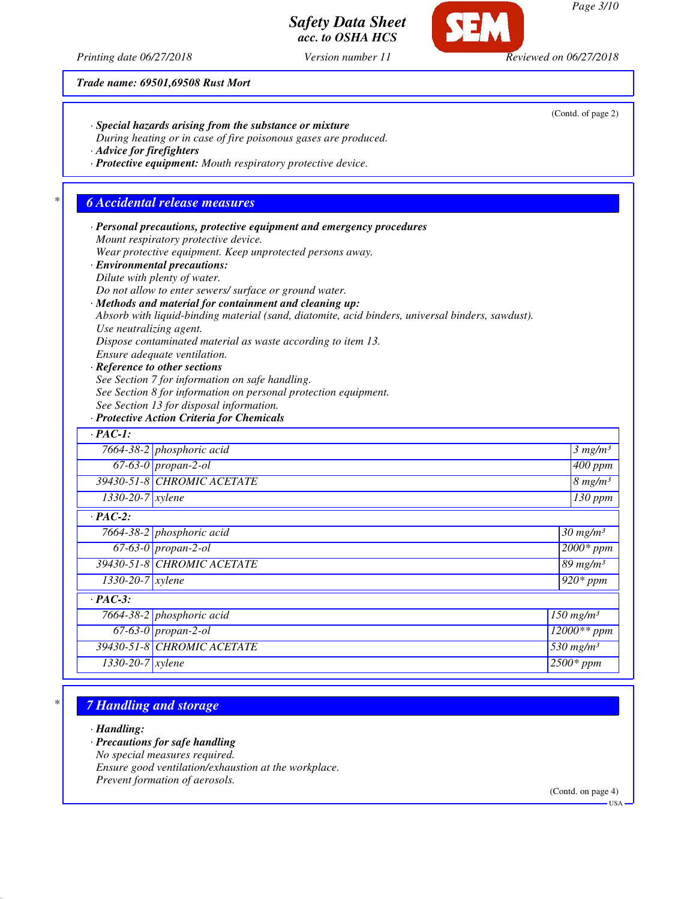**SEM** 

*Safety Data Sheet acc. to OSHA HCS*

*Printing date 06/27/2018 Version number 11 Reviewed on 06/27/2018*

*Trade name: 69501,69508 Rust Mort*

|                                                    | · Advice for firefighters                                              | · Special hazards arising from the substance or mixture<br>During heating or in case of fire poisonous gases are produced.<br>· Protective equipment: Mouth respiratory protective device.                                                                                                                                                                                                                                                                                                                                                                                                                                                                                                                                                                                                                           | (Contd. of page 2)      |  |
|----------------------------------------------------|------------------------------------------------------------------------|----------------------------------------------------------------------------------------------------------------------------------------------------------------------------------------------------------------------------------------------------------------------------------------------------------------------------------------------------------------------------------------------------------------------------------------------------------------------------------------------------------------------------------------------------------------------------------------------------------------------------------------------------------------------------------------------------------------------------------------------------------------------------------------------------------------------|-------------------------|--|
| *                                                  |                                                                        | <b>6 Accidental release measures</b>                                                                                                                                                                                                                                                                                                                                                                                                                                                                                                                                                                                                                                                                                                                                                                                 |                         |  |
|                                                    | Use neutralizing agent.                                                | · Personal precautions, protective equipment and emergency procedures<br>Mount respiratory protective device.<br>Wear protective equipment. Keep unprotected persons away.<br>· Environmental precautions:<br>Dilute with plenty of water.<br>Do not allow to enter sewers/ surface or ground water.<br>· Methods and material for containment and cleaning up:<br>Absorb with liquid-binding material (sand, diatomite, acid binders, universal binders, sawdust).<br>Dispose contaminated material as waste according to item 13.<br>Ensure adequate ventilation.<br>· Reference to other sections<br>See Section 7 for information on safe handling.<br>See Section 8 for information on personal protection equipment.<br>See Section 13 for disposal information.<br>· Protective Action Criteria for Chemicals |                         |  |
|                                                    | $\cdot$ PAC-1:                                                         |                                                                                                                                                                                                                                                                                                                                                                                                                                                                                                                                                                                                                                                                                                                                                                                                                      |                         |  |
|                                                    |                                                                        | 7664-38-2 phosphoric acid                                                                                                                                                                                                                                                                                                                                                                                                                                                                                                                                                                                                                                                                                                                                                                                            | 3 mg/m <sup>3</sup>     |  |
|                                                    |                                                                        | $67-63-0$ propan-2-ol                                                                                                                                                                                                                                                                                                                                                                                                                                                                                                                                                                                                                                                                                                                                                                                                | $400$ ppm               |  |
|                                                    | 39430-51-8 CHROMIC ACETATE<br>$1330 - 20 - 7$ xylene<br>$\cdot$ PAC-2: |                                                                                                                                                                                                                                                                                                                                                                                                                                                                                                                                                                                                                                                                                                                                                                                                                      | $8$ mg/m <sup>3</sup>   |  |
|                                                    |                                                                        |                                                                                                                                                                                                                                                                                                                                                                                                                                                                                                                                                                                                                                                                                                                                                                                                                      | $130$ ppm               |  |
|                                                    |                                                                        |                                                                                                                                                                                                                                                                                                                                                                                                                                                                                                                                                                                                                                                                                                                                                                                                                      |                         |  |
| 7664-38-2 phosphoric acid<br>$67-63-0$ propan-2-ol |                                                                        |                                                                                                                                                                                                                                                                                                                                                                                                                                                                                                                                                                                                                                                                                                                                                                                                                      | $30$ mg/m <sup>3</sup>  |  |
|                                                    |                                                                        |                                                                                                                                                                                                                                                                                                                                                                                                                                                                                                                                                                                                                                                                                                                                                                                                                      | $2000*ppm$              |  |
|                                                    |                                                                        | 39430-51-8 CHROMIC ACETATE                                                                                                                                                                                                                                                                                                                                                                                                                                                                                                                                                                                                                                                                                                                                                                                           | $89$ mg/m <sup>3</sup>  |  |
|                                                    | 1330-20-7 xylene                                                       |                                                                                                                                                                                                                                                                                                                                                                                                                                                                                                                                                                                                                                                                                                                                                                                                                      | $\frac{1}{920 * ppm}$   |  |
|                                                    | $\cdot$ PAC-3:                                                         |                                                                                                                                                                                                                                                                                                                                                                                                                                                                                                                                                                                                                                                                                                                                                                                                                      |                         |  |
|                                                    |                                                                        | 7664-38-2 phosphoric acid                                                                                                                                                                                                                                                                                                                                                                                                                                                                                                                                                                                                                                                                                                                                                                                            | $150$ mg/m <sup>3</sup> |  |
|                                                    |                                                                        | $67-63-0$ propan-2-ol                                                                                                                                                                                                                                                                                                                                                                                                                                                                                                                                                                                                                                                                                                                                                                                                | $12000**$ ppm           |  |
|                                                    |                                                                        | 39430-51-8 CHROMIC ACETATE                                                                                                                                                                                                                                                                                                                                                                                                                                                                                                                                                                                                                                                                                                                                                                                           | 530 mg/m <sup>3</sup>   |  |
|                                                    | 1330-20-7 xylene                                                       |                                                                                                                                                                                                                                                                                                                                                                                                                                                                                                                                                                                                                                                                                                                                                                                                                      | $2500*ppm$              |  |

# *\* 7 Handling and storage*

*· Handling:*

*· Precautions for safe handling*

*No special measures required.*

*Ensure good ventilation/exhaustion at the workplace.*

*Prevent formation of aerosols.*

(Contd. on page 4)

USA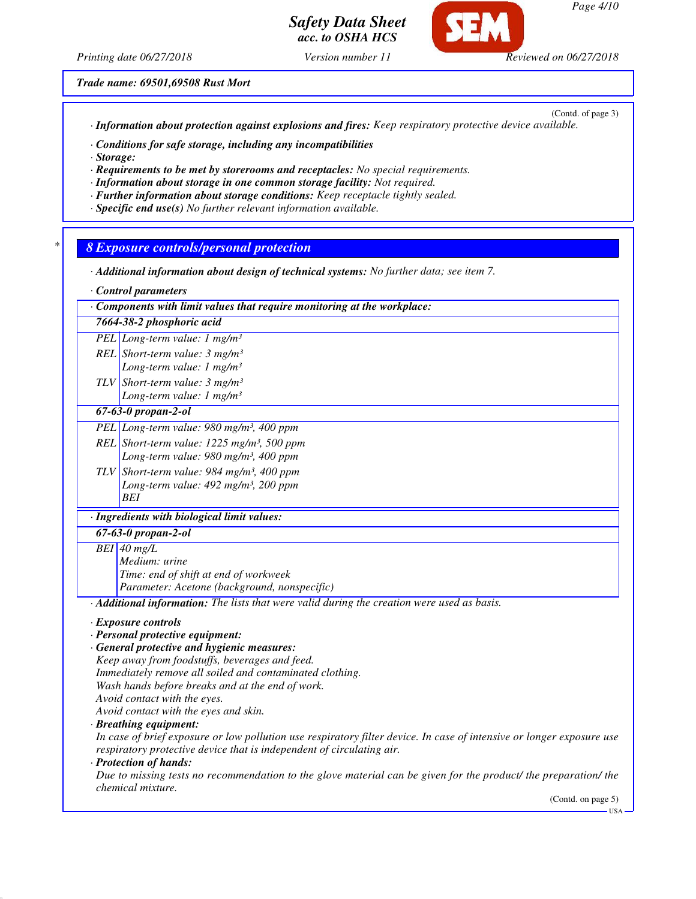

*Printing date 06/27/2018 Version number 11 Reviewed on 06/27/2018*

(Contd. of page 3)

*Trade name: 69501,69508 Rust Mort*

*· Information about protection against explosions and fires: Keep respiratory protective device available.*

- *· Conditions for safe storage, including any incompatibilities*
- *· Storage:*
- *· Requirements to be met by storerooms and receptacles: No special requirements.*
- *· Information about storage in one common storage facility: Not required.*
- *· Further information about storage conditions: Keep receptacle tightly sealed.*

*· Components with limit values that require monitoring at the workplace:*

*· Specific end use(s) No further relevant information available.*

## *\* 8 Exposure controls/personal protection*

- *· Additional information about design of technical systems: No further data; see item 7.*
- *· Control parameters*

|                                                          | 7664-38-2 phosphoric acid                                                                                             |  |  |
|----------------------------------------------------------|-----------------------------------------------------------------------------------------------------------------------|--|--|
|                                                          | PEL Long-term value: 1 $mg/m^3$                                                                                       |  |  |
|                                                          | REL Short-term value: $3$ mg/m <sup>3</sup>                                                                           |  |  |
|                                                          | Long-term value: $1 \ mg/m^3$                                                                                         |  |  |
|                                                          | TLV Short-term value: $3 \text{ mg/m}^3$                                                                              |  |  |
|                                                          | Long-term value: $1 \text{ mg/m}^3$                                                                                   |  |  |
|                                                          | 67-63-0 propan-2-ol                                                                                                   |  |  |
|                                                          | PEL Long-term value: 980 mg/m <sup>3</sup> , 400 ppm                                                                  |  |  |
|                                                          | REL Short-term value: $1225$ mg/m <sup>3</sup> , 500 ppm                                                              |  |  |
|                                                          | Long-term value: 980 mg/m <sup>3</sup> , 400 ppm                                                                      |  |  |
|                                                          | TLV Short-term value: 984 mg/m <sup>3</sup> , 400 ppm                                                                 |  |  |
|                                                          | Long-term value: 492 mg/m <sup>3</sup> , 200 ppm                                                                      |  |  |
|                                                          | <b>BEI</b>                                                                                                            |  |  |
|                                                          | · Ingredients with biological limit values:                                                                           |  |  |
|                                                          | 67-63-0 propan-2-ol                                                                                                   |  |  |
|                                                          | $BEI$ 40 mg/L                                                                                                         |  |  |
|                                                          | Medium: urine                                                                                                         |  |  |
|                                                          | Time: end of shift at end of workweek                                                                                 |  |  |
|                                                          | Parameter: Acetone (background, nonspecific)                                                                          |  |  |
|                                                          | · Additional information: The lists that were valid during the creation were used as basis.                           |  |  |
|                                                          | $\cdot$ Exposure controls                                                                                             |  |  |
|                                                          | · Personal protective equipment:                                                                                      |  |  |
|                                                          | · General protective and hygienic measures:                                                                           |  |  |
|                                                          | Keep away from foodstuffs, beverages and feed.                                                                        |  |  |
| Immediately remove all soiled and contaminated clothing. |                                                                                                                       |  |  |
|                                                          | Wash hands before breaks and at the end of work.                                                                      |  |  |
|                                                          | Avoid contact with the eyes.<br>Avoid contact with the eyes and skin.                                                 |  |  |
|                                                          | · Breathing equipment:                                                                                                |  |  |
|                                                          | In case of brief exposure or low pollution use respiratory filter device. In case of intensive or longer exposure use |  |  |
|                                                          | respiratory protective device that is independent of circulating air.                                                 |  |  |
|                                                          | · Protection of hands:                                                                                                |  |  |
|                                                          | Due to missing tests no recommendation to the glove material can be given for the product/ the preparation/ the       |  |  |
|                                                          | chemical mixture.<br>(Contd. on page 5)                                                                               |  |  |
|                                                          |                                                                                                                       |  |  |

USA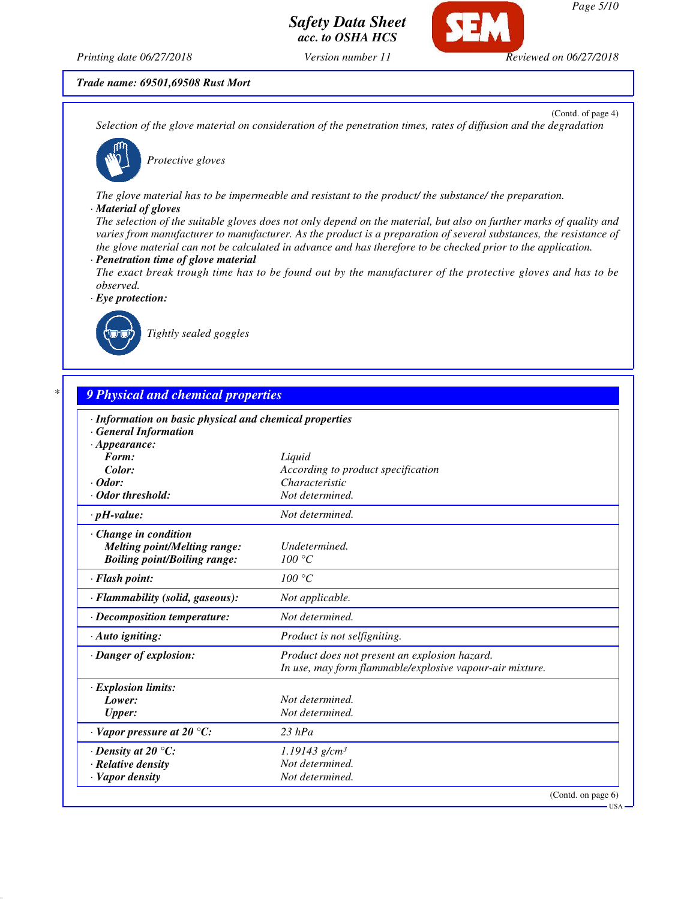

*Page 5/10*

USA

*Printing date 06/27/2018 Version number 11 Reviewed on 06/27/2018*

*Trade name: 69501,69508 Rust Mort*

(Contd. of page 4) *Selection of the glove material on consideration of the penetration times, rates of diffusion and the degradation*



*Protective gloves*

*The glove material has to be impermeable and resistant to the product/ the substance/ the preparation.*

### *· Material of gloves*

*The selection of the suitable gloves does not only depend on the material, but also on further marks of quality and varies from manufacturer to manufacturer. As the product is a preparation of several substances, the resistance of the glove material can not be calculated in advance and has therefore to be checked prior to the application.*

#### *· Penetration time of glove material*

*The exact break trough time has to be found out by the manufacturer of the protective gloves and has to be observed.*





*Tightly sealed goggles*

# *\* 9 Physical and chemical properties*

| · Information on basic physical and chemical properties |                                                                                                           |
|---------------------------------------------------------|-----------------------------------------------------------------------------------------------------------|
| <b>General Information</b>                              |                                                                                                           |
| $\cdot$ Appearance:                                     |                                                                                                           |
| Form:                                                   | Liquid                                                                                                    |
| Color:                                                  | According to product specification                                                                        |
| $\cdot$ Odor:                                           | Characteristic                                                                                            |
| · Odor threshold:                                       | Not determined.                                                                                           |
| $\cdot$ pH-value:                                       | Not determined.                                                                                           |
| $\cdot$ Change in condition                             |                                                                                                           |
| <b>Melting point/Melting range:</b>                     | Undetermined.                                                                                             |
| <b>Boiling point/Boiling range:</b>                     | 100 °C                                                                                                    |
| · Flash point:                                          | 100 °C                                                                                                    |
| · Flammability (solid, gaseous):                        | Not applicable.                                                                                           |
| $\cdot$ Decomposition temperature:                      | Not determined.                                                                                           |
| $\cdot$ Auto igniting:                                  | Product is not selfigniting.                                                                              |
| · Danger of explosion:                                  | Product does not present an explosion hazard.<br>In use, may form flammable/explosive vapour-air mixture. |
| $\cdot$ Explosion limits:                               |                                                                                                           |
| Lower:                                                  | Not determined.                                                                                           |
| <b>Upper:</b>                                           | Not determined.                                                                                           |
| $\cdot$ Vapor pressure at 20 °C:                        | $23$ $hPa$                                                                                                |
| $\cdot$ Density at 20 $\degree$ C:                      | $1.19143$ g/cm <sup>3</sup>                                                                               |
| $\cdot$ Relative density                                | Not determined.                                                                                           |
| · Vapor density                                         | Not determined.                                                                                           |
|                                                         | (Contd. on page 6)                                                                                        |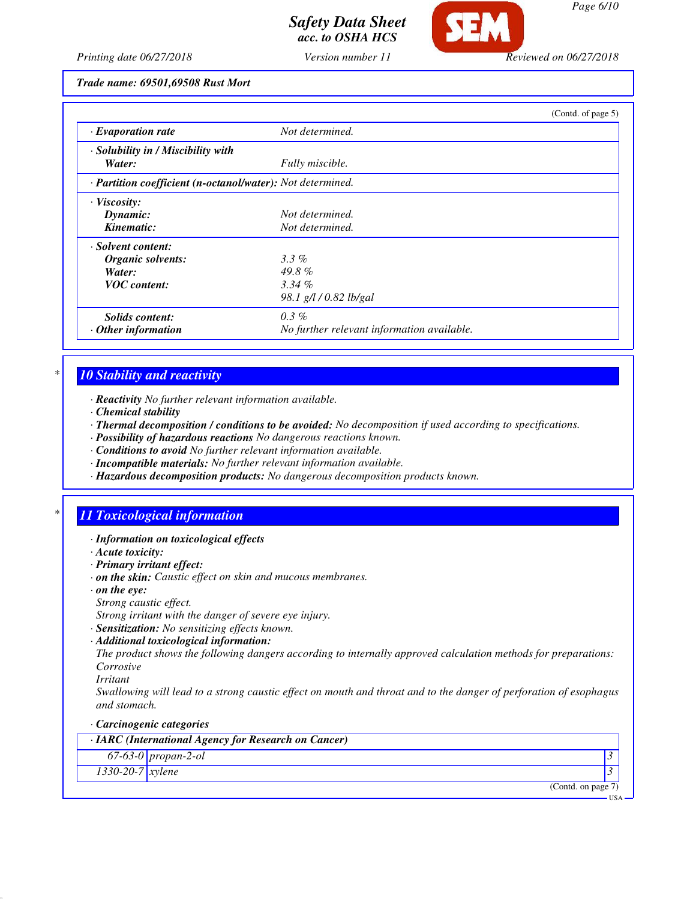

*Printing date 06/27/2018 Version number 11 Reviewed on 06/27/2018*

*Trade name: 69501,69508 Rust Mort*

|                                                            |                                            | (Contd. of page 5) |
|------------------------------------------------------------|--------------------------------------------|--------------------|
| $\cdot$ Evaporation rate                                   | Not determined.                            |                    |
| · Solubility in / Miscibility with                         |                                            |                    |
| Water:                                                     | Fully miscible.                            |                    |
| · Partition coefficient (n-octanol/water): Not determined. |                                            |                    |
| $\cdot$ Viscosity:                                         |                                            |                    |
| Dynamic:                                                   | Not determined.                            |                    |
| Kinematic:                                                 | Not determined.                            |                    |
| · Solvent content:                                         |                                            |                    |
| Organic solvents:                                          | $3.3\%$                                    |                    |
| Water:                                                     | $49.8\%$                                   |                    |
| <b>VOC</b> content:                                        | $3.34\%$                                   |                    |
|                                                            | 98.1 g/l / 0.82 lb/gal                     |                    |
| <b>Solids content:</b>                                     | $0.3\%$                                    |                    |
| $\cdot$ Other information                                  | No further relevant information available. |                    |

# *\* 10 Stability and reactivity*

- *· Reactivity No further relevant information available.*
- *· Chemical stability*
- *· Thermal decomposition / conditions to be avoided: No decomposition if used according to specifications.*
- *· Possibility of hazardous reactions No dangerous reactions known.*
- *· Conditions to avoid No further relevant information available.*
- *· Incompatible materials: No further relevant information available.*
- *· Hazardous decomposition products: No dangerous decomposition products known.*

# *\* 11 Toxicological information*

- *· Information on toxicological effects*
- *· Acute toxicity:*
- *· Primary irritant effect:*
- *· on the skin: Caustic effect on skin and mucous membranes.*
- *· on the eye:*
- *Strong caustic effect.*
- *Strong irritant with the danger of severe eye injury.*
- *· Sensitization: No sensitizing effects known.*
- *· Additional toxicological information:*

*The product shows the following dangers according to internally approved calculation methods for preparations: Corrosive*

*Irritant*

*Swallowing will lead to a strong caustic effect on mouth and throat and to the danger of perforation of esophagus and stomach.*

*· Carcinogenic categories*

| · IARC (International Agency for Research on Cancer) |                     |     |
|------------------------------------------------------|---------------------|-----|
|                                                      | 67-63-0 propan-2-ol |     |
| $1330-20-7$ xylene                                   |                     |     |
|                                                      | (Contd. on page 7)  |     |
|                                                      |                     | USA |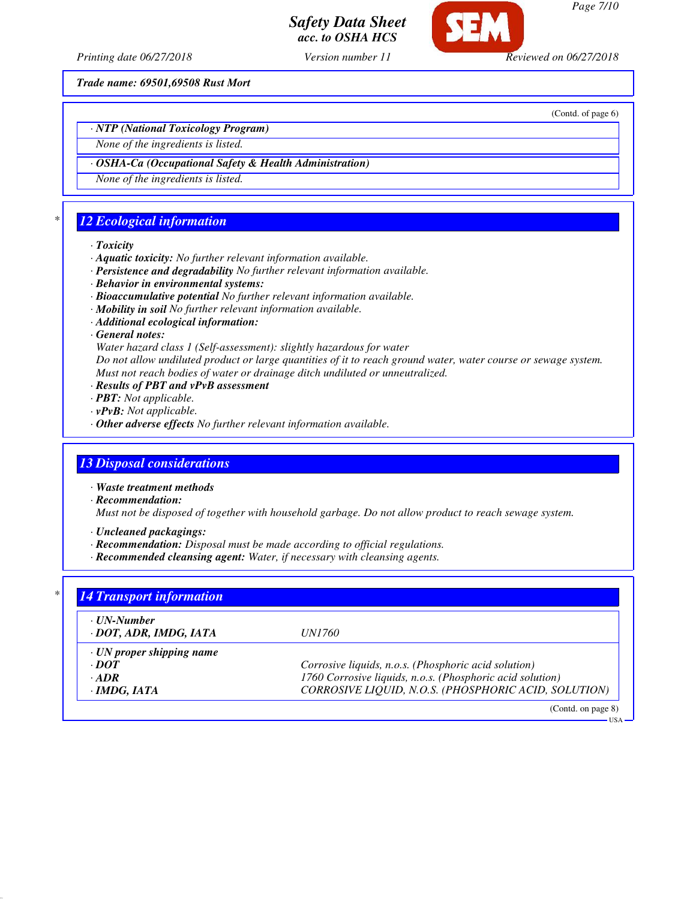

*Page 7/10*

*Printing date 06/27/2018 Version number 11 Reviewed on 06/27/2018*

*acc. to OSHA HCS*

*Trade name: 69501,69508 Rust Mort*

(Contd. of page 6)

USA

*· NTP (National Toxicology Program)*

*None of the ingredients is listed.*

*· OSHA-Ca (Occupational Safety & Health Administration)*

*None of the ingredients is listed.*

# *\* 12 Ecological information*

### *· Toxicity*

- *· Aquatic toxicity: No further relevant information available.*
- *· Persistence and degradability No further relevant information available.*
- *· Behavior in environmental systems:*
- *· Bioaccumulative potential No further relevant information available.*
- *· Mobility in soil No further relevant information available.*
- *· Additional ecological information:*
- *· General notes:*

*Water hazard class 1 (Self-assessment): slightly hazardous for water*

*Do not allow undiluted product or large quantities of it to reach ground water, water course or sewage system. Must not reach bodies of water or drainage ditch undiluted or unneutralized.*

- *· Results of PBT and vPvB assessment*
- *· PBT: Not applicable.*
- *· vPvB: Not applicable.*
- *· Other adverse effects No further relevant information available.*

## *13 Disposal considerations*

*· Waste treatment methods*

*· Recommendation:*

*Must not be disposed of together with household garbage. Do not allow product to reach sewage system.*

- *· Uncleaned packagings:*
- *· Recommendation: Disposal must be made according to official regulations.*
- *· Recommended cleansing agent: Water, if necessary with cleansing agents.*

| · UN-Number                     |                                                           |
|---------------------------------|-----------------------------------------------------------|
| · DOT, ADR, IMDG, IATA          | <i>UN1760</i>                                             |
| $\cdot$ UN proper shipping name |                                                           |
| $\cdot$ DOT                     | Corrosive liquids, n.o.s. (Phosphoric acid solution)      |
| $\cdot$ ADR                     | 1760 Corrosive liquids, n.o.s. (Phosphoric acid solution) |
| $\cdot$ IMDG, IATA              | CORROSIVE LIQUID, N.O.S. (PHOSPHORIC ACID, SOLUTION)      |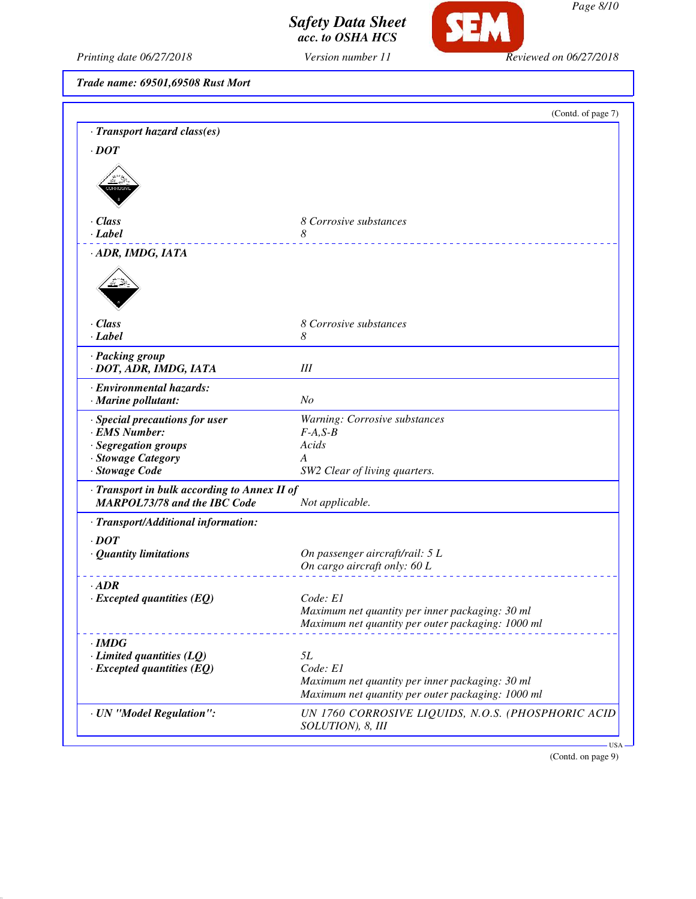

*Printing date 06/27/2018 Version number 11 Reviewed on 06/27/2018*

**SEM** 

*Trade name: 69501,69508 Rust Mort*

|                                            | (Contd. of page 7)                                 |
|--------------------------------------------|----------------------------------------------------|
| · Transport hazard class(es)               |                                                    |
| $\cdot$ <i>DOT</i>                         |                                                    |
|                                            |                                                    |
|                                            |                                                    |
|                                            |                                                    |
| $\cdot$ Class                              | 8 Corrosive substances                             |
| $\cdot$ Label                              | 8                                                  |
|                                            |                                                    |
| · ADR, IMDG, IATA                          |                                                    |
|                                            |                                                    |
|                                            |                                                    |
|                                            |                                                    |
| $\cdot$ Class                              | 8 Corrosive substances                             |
| $\cdot$ Label                              | 8                                                  |
| · Packing group                            |                                                    |
| · DOT, ADR, IMDG, IATA                     | III                                                |
| · Environmental hazards:                   |                                                    |
| · Marine pollutant:                        | N <sub>O</sub>                                     |
| · Special precautions for user             | Warning: Corrosive substances                      |
| · EMS Number:                              | $F-A, S-B$                                         |
| · Segregation groups                       | Acids                                              |
| · Stowage Category                         | $\boldsymbol{A}$                                   |
| · Stowage Code                             | SW2 Clear of living quarters.                      |
| Transport in bulk according to Annex II of |                                                    |
| <b>MARPOL73/78 and the IBC Code</b>        | Not applicable.                                    |
| · Transport/Additional information:        |                                                    |
| $\cdot$ DOT                                |                                                    |
| · Quantity limitations                     | On passenger aircraft/rail: 5 L                    |
|                                            | On cargo aircraft only: 60 L                       |
| $\cdot$ ADR                                |                                                    |
| $\cdot$ Excepted quantities (EQ)           | Code: E1                                           |
|                                            | Maximum net quantity per inner packaging: 30 ml    |
|                                            | Maximum net quantity per outer packaging: 1000 ml  |
| $\cdot$ IMDG                               |                                                    |
| $\cdot$ Limited quantities (LQ)            | 5L                                                 |
| $\cdot$ Excepted quantities (EQ)           | Code: E1                                           |
|                                            | Maximum net quantity per inner packaging: 30 ml    |
|                                            | Maximum net quantity per outer packaging: 1000 ml  |
| · UN "Model Regulation":                   | UN 1760 CORROSIVE LIQUIDS, N.O.S. (PHOSPHORIC ACID |

(Contd. on page 9)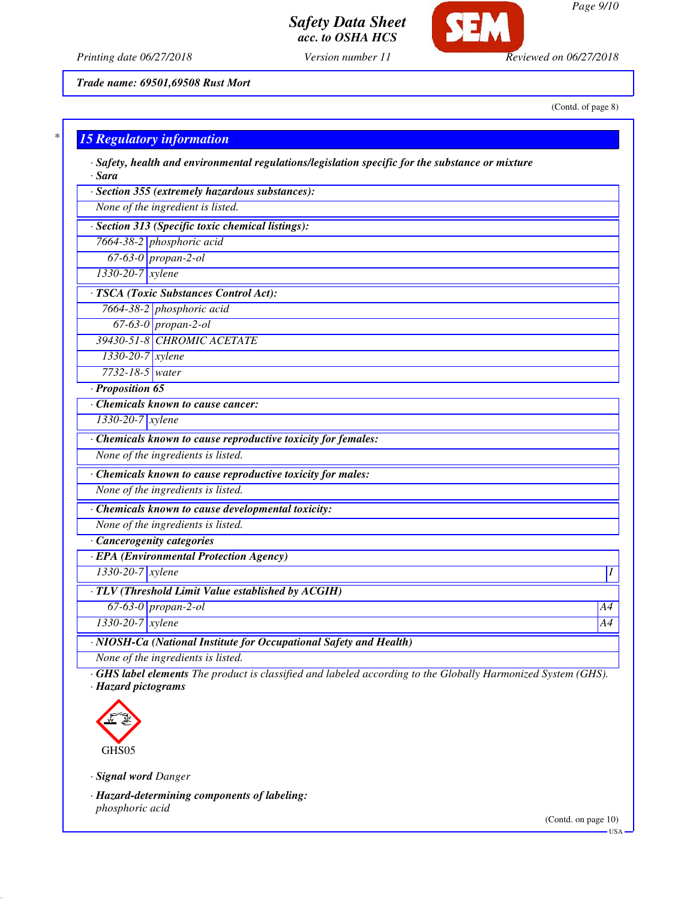*Page 9/10*

*Safety Data Sheet acc. to OSHA HCS*



*Printing date 06/27/2018 Version number 11 Reviewed on 06/27/2018*

(Contd. of page 8)

*Trade name: 69501,69508 Rust Mort*

# *\* 15 Regulatory information*

*· Safety, health and environmental regulations/legislation specific for the substance or mixture · Sara*

| · Section 355 (extremely hazardous substances):   |  |  |
|---------------------------------------------------|--|--|
| None of the ingredient is listed.                 |  |  |
| · Section 313 (Specific toxic chemical listings): |  |  |
| 7664-38-2 phosphoric acid                         |  |  |
| $67-63-0$ propan-2-ol                             |  |  |
| $1330-20-7$ xylene                                |  |  |
| · TSCA (Toxic Substances Control Act):            |  |  |
| 7664-38-2 phosphoric acid                         |  |  |
| $67-63-0$ propan-2-ol                             |  |  |
| 39430-51-8 CHROMIC ACETATE                        |  |  |
| $1330 - 20 - 7$ xylene                            |  |  |
|                                                   |  |  |

*7732-18-5 water*

*· Proposition 65*

*· Chemicals known to cause cancer:*

*1330-20-7 xylene*

*· Chemicals known to cause reproductive toxicity for females:*

*None of the ingredients is listed.*

*· Chemicals known to cause reproductive toxicity for males:*

*None of the ingredients is listed.*

*· Chemicals known to cause developmental toxicity:*

*None of the ingredients is listed.*

*· Cancerogenity categories*

*· EPA (Environmental Protection Agency)*

*1330-20-7 xylene I* 

*· TLV (Threshold Limit Value established by ACGIH)*

*67-63-0 propan-2-ol A4*

*1330-20-7 xylene A4*

*· NIOSH-Ca (National Institute for Occupational Safety and Health)*

*None of the ingredients is listed.*

*· GHS label elements The product is classified and labeled according to the Globally Harmonized System (GHS). · Hazard pictograms*



*· Signal word Danger*

*· Hazard-determining components of labeling: phosphoric acid*

(Contd. on page 10)